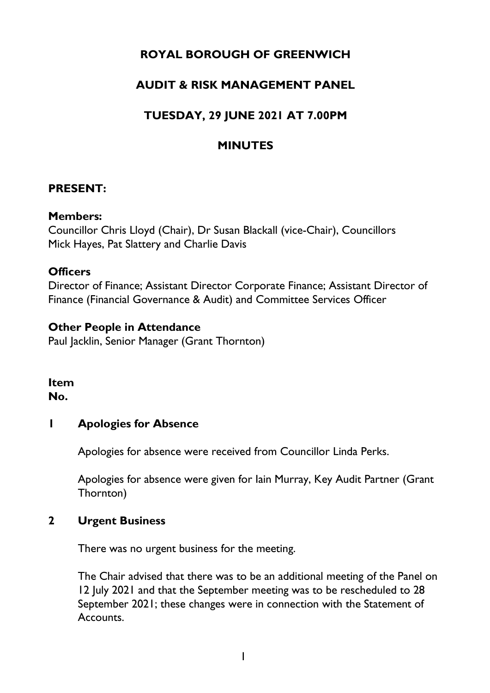# **ROYAL BOROUGH OF GREENWICH**

# **AUDIT & RISK MANAGEMENT PANEL**

# **TUESDAY, 29 JUNE 2021 AT 7.00PM**

# **MINUTES**

### **PRESENT:**

#### **Members:**

Councillor Chris Lloyd (Chair), Dr Susan Blackall (vice-Chair), Councillors Mick Hayes, Pat Slattery and Charlie Davis

#### **Officers**

Director of Finance; Assistant Director Corporate Finance; Assistant Director of Finance (Financial Governance & Audit) and Committee Services Officer

### **Other People in Attendance**

Paul Jacklin, Senior Manager (Grant Thornton)

#### **Item No.**

### **1 Apologies for Absence**

Apologies for absence were received from Councillor Linda Perks.

Apologies for absence were given for Iain Murray, Key Audit Partner (Grant Thornton)

### **2 Urgent Business**

There was no urgent business for the meeting.

The Chair advised that there was to be an additional meeting of the Panel on 12 July 2021 and that the September meeting was to be rescheduled to 28 September 2021; these changes were in connection with the Statement of Accounts.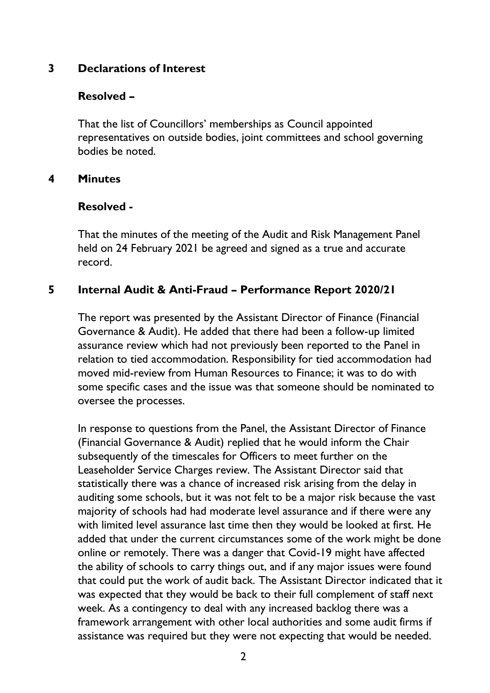## **3 Declarations of Interest**

#### **Resolved –**

That the list of Councillors' memberships as Council appointed representatives on outside bodies, joint committees and school governing bodies be noted.

#### **4 Minutes**

#### **Resolved -**

That the minutes of the meeting of the Audit and Risk Management Panel held on 24 February 2021 be agreed and signed as a true and accurate record.

## **5 Internal Audit & Anti-Fraud – Performance Report 2020/21**

The report was presented by the Assistant Director of Finance (Financial Governance & Audit). He added that there had been a follow-up limited assurance review which had not previously been reported to the Panel in relation to tied accommodation. Responsibility for tied accommodation had moved mid-review from Human Resources to Finance; it was to do with some specific cases and the issue was that someone should be nominated to oversee the processes.

In response to questions from the Panel, the Assistant Director of Finance (Financial Governance & Audit) replied that he would inform the Chair subsequently of the timescales for Officers to meet further on the Leaseholder Service Charges review. The Assistant Director said that statistically there was a chance of increased risk arising from the delay in auditing some schools, but it was not felt to be a major risk because the vast majority of schools had had moderate level assurance and if there were any with limited level assurance last time then they would be looked at first. He added that under the current circumstances some of the work might be done online or remotely. There was a danger that Covid-19 might have affected the ability of schools to carry things out, and if any major issues were found that could put the work of audit back. The Assistant Director indicated that it was expected that they would be back to their full complement of staff next week. As a contingency to deal with any increased backlog there was a framework arrangement with other local authorities and some audit firms if assistance was required but they were not expecting that would be needed.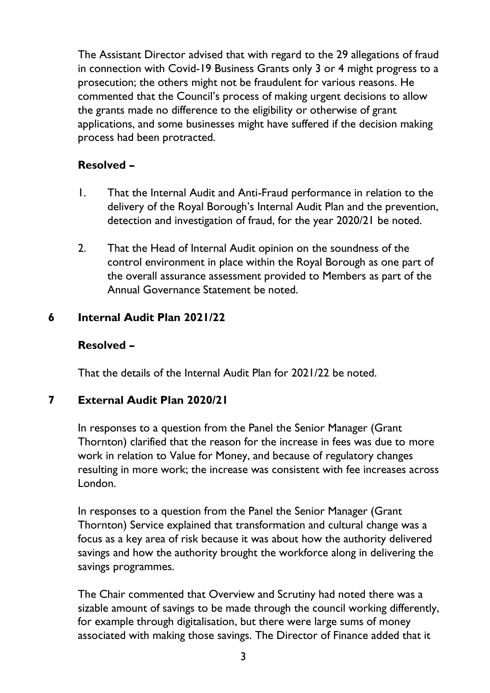The Assistant Director advised that with regard to the 29 allegations of fraud in connection with Covid-19 Business Grants only 3 or 4 might progress to a prosecution; the others might not be fraudulent for various reasons. He commented that the Council's process of making urgent decisions to allow the grants made no difference to the eligibility or otherwise of grant applications, and some businesses might have suffered if the decision making process had been protracted.

# **Resolved –**

- 1. That the Internal Audit and Anti-Fraud performance in relation to the delivery of the Royal Borough's Internal Audit Plan and the prevention, detection and investigation of fraud, for the year 2020/21 be noted.
- 2. That the Head of Internal Audit opinion on the soundness of the control environment in place within the Royal Borough as one part of the overall assurance assessment provided to Members as part of the Annual Governance Statement be noted.

# **6 Internal Audit Plan 2021/22**

## **Resolved –**

That the details of the Internal Audit Plan for 2021/22 be noted.

# **7 External Audit Plan 2020/21**

In responses to a question from the Panel the Senior Manager (Grant Thornton) clarified that the reason for the increase in fees was due to more work in relation to Value for Money, and because of regulatory changes resulting in more work; the increase was consistent with fee increases across London.

In responses to a question from the Panel the Senior Manager (Grant Thornton) Service explained that transformation and cultural change was a focus as a key area of risk because it was about how the authority delivered savings and how the authority brought the workforce along in delivering the savings programmes.

The Chair commented that Overview and Scrutiny had noted there was a sizable amount of savings to be made through the council working differently, for example through digitalisation, but there were large sums of money associated with making those savings. The Director of Finance added that it